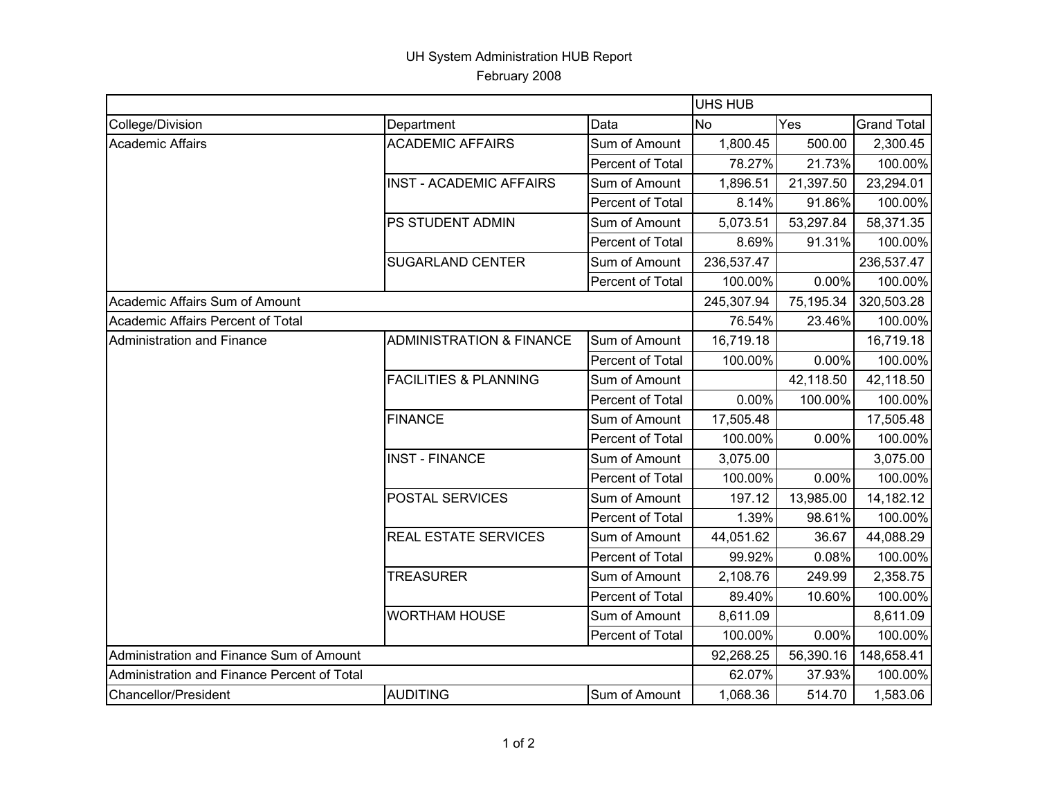## UH System Administration HUB Report February 2008

|                                             |                                     |                  | UHS HUB    |           |                    |  |
|---------------------------------------------|-------------------------------------|------------------|------------|-----------|--------------------|--|
| College/Division                            | Department                          | Data             | <b>No</b>  | Yes       | <b>Grand Total</b> |  |
| <b>Academic Affairs</b>                     | <b>ACADEMIC AFFAIRS</b>             | Sum of Amount    | 1,800.45   | 500.00    | 2,300.45           |  |
|                                             |                                     | Percent of Total | 78.27%     | 21.73%    | 100.00%            |  |
|                                             | <b>INST - ACADEMIC AFFAIRS</b>      | Sum of Amount    | 1,896.51   | 21,397.50 | 23,294.01          |  |
|                                             |                                     | Percent of Total | 8.14%      | 91.86%    | 100.00%            |  |
|                                             | PS STUDENT ADMIN                    | Sum of Amount    | 5,073.51   | 53,297.84 | 58,371.35          |  |
|                                             |                                     | Percent of Total | 8.69%      | 91.31%    | 100.00%            |  |
|                                             | <b>SUGARLAND CENTER</b>             | Sum of Amount    | 236,537.47 |           | 236,537.47         |  |
|                                             |                                     | Percent of Total | 100.00%    | 0.00%     | 100.00%            |  |
| Academic Affairs Sum of Amount              |                                     |                  | 245,307.94 | 75,195.34 | 320,503.28         |  |
| Academic Affairs Percent of Total           |                                     |                  | 76.54%     | 23.46%    | 100.00%            |  |
| Administration and Finance                  | <b>ADMINISTRATION &amp; FINANCE</b> | Sum of Amount    | 16,719.18  |           | 16,719.18          |  |
|                                             |                                     | Percent of Total | 100.00%    | 0.00%     | 100.00%            |  |
|                                             | <b>FACILITIES &amp; PLANNING</b>    | Sum of Amount    |            | 42,118.50 | 42,118.50          |  |
|                                             |                                     | Percent of Total | 0.00%      | 100.00%   | 100.00%            |  |
|                                             | <b>FINANCE</b>                      | Sum of Amount    | 17,505.48  |           | 17,505.48          |  |
|                                             |                                     | Percent of Total | 100.00%    | 0.00%     | 100.00%            |  |
|                                             | <b>INST - FINANCE</b>               | Sum of Amount    | 3,075.00   |           | 3,075.00           |  |
|                                             |                                     | Percent of Total | 100.00%    | 0.00%     | 100.00%            |  |
|                                             | POSTAL SERVICES                     | Sum of Amount    | 197.12     | 13,985.00 | 14,182.12          |  |
|                                             |                                     | Percent of Total | 1.39%      | 98.61%    | 100.00%            |  |
|                                             | REAL ESTATE SERVICES                | Sum of Amount    | 44,051.62  | 36.67     | 44,088.29          |  |
|                                             |                                     | Percent of Total | 99.92%     | 0.08%     | 100.00%            |  |
|                                             | <b>TREASURER</b>                    | Sum of Amount    | 2,108.76   | 249.99    | 2,358.75           |  |
|                                             |                                     | Percent of Total | 89.40%     | 10.60%    | 100.00%            |  |
|                                             | <b>WORTHAM HOUSE</b>                | Sum of Amount    | 8,611.09   |           | 8,611.09           |  |
|                                             |                                     | Percent of Total | 100.00%    | 0.00%     | 100.00%            |  |
| Administration and Finance Sum of Amount    |                                     |                  | 92,268.25  | 56,390.16 | 148,658.41         |  |
| Administration and Finance Percent of Total |                                     |                  | 62.07%     | 37.93%    | 100.00%            |  |
| <b>Chancellor/President</b>                 | <b>AUDITING</b>                     | Sum of Amount    | 1,068.36   | 514.70    | 1,583.06           |  |